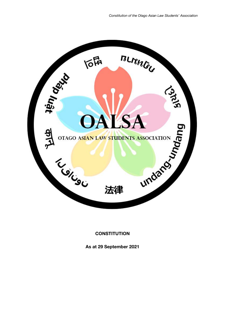

# **CONSTITUTION**

**As at 29 September 2021**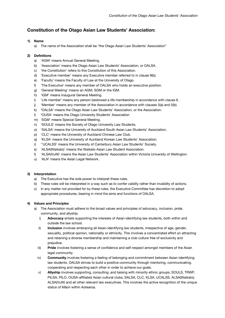# **Constitution of the Otago Asian Law Students' Association:**

# **1) Name**

a) The name of the Association shall be "the Otago Asian Law Students' Association"

# **2) Definitions**

- a) 'AGM' means Annual General Meeting.
- b) 'Association' means the Otago Asian Law Students' Association, or OALSA.
- c) 'the Constitution' refers to this Constitution of this Association.
- d) 'Executive member' means any Executive member referred to in clause 9(b).
- e) 'Faculty' means the Faculty of Law at the University of Otago.
- f) 'The Executive' means any member of OALSA who holds an executive position.
- g) 'General Meeting' means an AGM, SGM or the IGM.
- h) 'IGM' means Inaugural General Meeting.
- i) 'Life member' means any person bestowed a life membership in accordance with clause 6.
- j) (Member' means any member of the Association in accordance with clauses 5(a) and 5(b).
- k) **'**OALSA' means the Otago Asian Law Students' Association, or the Association.
- l) **'**OUSA' means the Otago University Students' Association
- m) 'SGM' means Special General Meeting.
- n) 'SOULS' means the Society of Otago University Law Students.
- o) 'SALSA' means the University of Auckland South Asian Law Students' Association.
- p) 'CLC' means the University of Auckland Chinese Law Club.
- q) 'KLSA' means the University of Auckland Korean Law Students' Association.
- r) ''UCALSS' means the University of Canterbury Asian Law Students' Society.
- s) 'ALSA(Waikato)' means the Waikato Asian Law Student Association.
- t) 'ALSA(VuW)' means the Asian Law Students' Association within Victoria University of Wellington.
- u) 'ALN' means the Asian Legal Network.

# **3) Interpretation**

- a) The Executive has the sole power to interpret these rules.
- b) These rules will be interpreted in a way such as to confer validity rather than invalidity of actions.
- c) In any matter not provided for by these rules, the Executive Committee has discretion to adopt appropriate procedures, bearing in mind the aims and functions of OALSA.

# **4) Values and Principles**

- a) The Association must adhere to the broad values and principles of advocacy, inclusion, pride, community, and allyship.
	- i) **Advocacy** entails supporting the interests of Asian-identifying law students, both within and outside the law school.
	- ii) **Inclusion** involves embracing all Asian-identifying law students, irrespective of age, gender, sexuality, political opinion, nationality or ethnicity. This involves a concentrated effort on attracting and retaining a diverse membership and maintaining a club culture free of exclusivity and prejudice.
	- iii) **Pride** involves fostering a sense of confidence and self-respect amongst members of the Asian legal community.
	- iv) **Community** involves fostering a feeling of belonging and commitment between Asian-identifying law students. OALSA strives to build a positive community through mentoring, communicating, cooperating and respecting each other in order to achieve our goals.
	- v) **Allyship** involves supporting, consulting, and liaising with minority ethnic groups, SOULS, TRWP, PILSA, PILO, OUSA-affiliated Asian cultural clubs, SALSA, CLC, KLSA, UCALSS, ALSA(Waikato), ALSA(VuW) and all other relevant law executives. This involves the active recognition of the unique status of Māori within Aotearoa.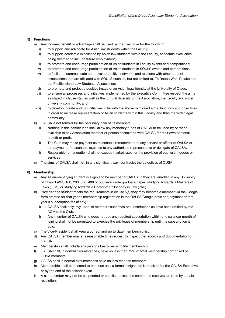# **5) Functions**

- a) Any income, benefit or advantage shall be used by the Executive for the following:
	- i) to support and advocate for Asian law students within the Faculty;
	- ii) to support academic excellence by Asian law students within the Faculty, academic excellence being deemed to include future employment;
	- iii) to promote and encourage participation of Asian students in Faculty events and competitions;
	- iv) to promote and encourage participation of Asian students in SOULS events and competitions;
	- v) to facilitate, communicate and develop positive networks and relations with other student associations that are affiliated with SOULS such as, but not limited to, Te Roopu Whai Putake and the Pacific Island Law Students' Association;
	- vi) to promote and project a positive image of an Asian legal identity at the University of Otago;
	- vii) to ensure all processes and initiatives implemented by the Executive Committee respect the aims as stated in clause 4(a), as well as the cultural diversity of the Association, the Faculty and wider university community; and
- viii) to develop, create and run initiatives in lie with the abovementioned aims, functions and objectives in order to increase representation of Asian students within this Faculty and thus the wider legal community.
- b) OALSA is not formed for the pecuniary gain of its members
	- i) Nothing in this constitution shall allow any monetary funds of OALSA to be used by or made available to any Association member or person associated with OALSA for their own personal benefit or profit.
	- ii) The Club may make payment as reasonable remuneration to any servant or officer of OALSA or the payment of reasonable expense to any authorised representative or delegate of OALSA.
	- iii) Reasonable remuneration shall not exceed market rates for the provision of equivalent goods or services
- c) The aims of OALSA shall not, in any significant way, contradict the objectives of OUSA

# **6) Membership**

- a) Any Asian-identifying student is eligible to be member of OALSA, if they are, enrolled in any University of Otago LAWS 100, 200, 300, 400 or 500 level undergraduate paper, studying towards a Masters of Laws (LLM), or studying towards a Doctor of Philosophy in Law (PhD).
- b) Provided the student meets the requirements in clause 5(a) they may become a member via the Google form created for that year's membership registration in the OALSA Google drive and payment of that year's subscription fee (if any).
	- i) OALSA shall only levy upon its members such fees or subscriptions as have been ratified by the AGM of the Club.
	- ii) Any member of OALSA who does not pay any required subscription within one calendar month of joining shall not be permitted to exercise the privileges of membership until the subscription is paid.
- c) The Vice-President shall keep a correct and up to date membership list.
- d) Any OALSA member may at a reasonable time request to inspect the records and documentation of OALSA.
- e) Membership shall include any persons bestowed with life membership.
- f) OALSA shall, in normal circumstances, have no less than 75% of total membership comprised of OUSA members.
- g) OALSA shall in normal circumstances have no less than ten members.
- h) Membership shall be deemed to continue until a formal resignation is received by the OALSA Executive or by the end of the calendar year.
- i) A club member may not be suspended or expelled unless the committee resolves to do so by special resolution.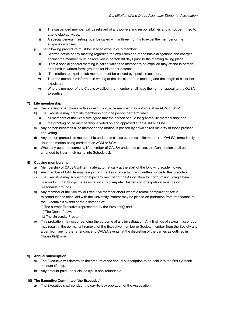- i) The suspended member will be relieved of any powers and responsibilities and is not permitted to attend club activities.
- ii) A special general meeting must be called within three months to expel the member or the suspension lapses.
- j) The following procedure must be used to expel a club member:
	- i) Written notice of any meeting regarding the expulsion and of the basic allegations and charges against the member must be received in person 30 days prior to the meeting taking place.
	- ii) That a special general meeting is called which the member to be expelled may attend in person, or submit in written form, grounds for his or her defence.
	- iii) The motion to expel a club member must be passed by special resolution.
	- iv) That the member is informed in writing of the decision of the meeting and the length of his or her expulsion.
	- v) Where a member of the Club is expelled, that member shall have the right of appeal to the OUSA Executive.

# **7) Life membership**

- a) Despite any other clause in this constitution, a life member may not vote at an AGM or SGM.
- b) The Executive may grant life membership to one person per term when:
	- i) all members of the Executive agree that the person should be granted life membership; and
	- ii) the granting of life membership is voted on and approved at an AGM or SGM.
- c) Any person becomes a life member if the motion is passed by a two-thirds majority of those present and voting.
- d) Any person granted life membership under this clause becomes a life member of OALSA immediately upon the motion being carried at an AGM or SGM.
- e) When any person becomes a life member of OALSA under this clause, the Constitution shall be amended to insert their name into Schedule 2.

# **8) Ceasing membership**

- a) Membership of OALSA will terminate automatically at the start of the following academic year.
- b) Any member of OALSA may resign from the Association by giving written notice to the Executive.
- c) The Executive may suspend or expel any member of the Association for conduct (including sexual misconduct) that brings the Association into disrepute. Suspension or expulsion must be on reasonable grounds.
- d) Any member of the Society or Executive member about whom a formal complaint of sexual misconduct has been laid with the University Proctor may be placed on probation from attendance at the Executive's events at the discretion of:
	- i.) The current Executive (represented by the President); and
	- ii.) The Dean of Law; and
	- iii.) The University Proctor.
- e) This probation may occur pending the outcome of any investigation. Any findings of sexual misconduct may result in the permanent removal of the Executive member or Society member from the Society and a ban from any further attendance to OALSA events, at the discretion of the parties as outlined in Clause 8(d)(i)-(iii).

# **9) Annual subscription**

- a) The Executive will determine the amount of the annual subscription to be paid into the OALSA bank account (if any).
- b) Any amount paid under clause 8(a) is non-refundable.

# **10) The Executive Committee (the Executive)**

a) The Executive shall conduct the day-to-day operation of the Association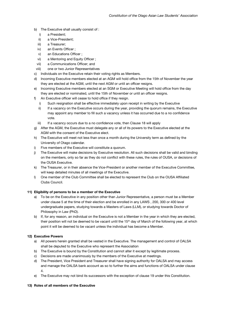- b) The Executive shall usually consist of :
	- i) a President;
	- ii) a Vice-President;
	- iii) a Treasurer;
	- iv) an Events Officer ;
	- v) an Educations Officer ;
	- vi) a Mentoring and Equity Officer ;
	- vii) a Communications Officer; and
- viii) one or two Junior Representatives
- c) Individuals on the Executive retain their voting rights as Members.
- d) Incoming Executive members elected at an AGM will hold office from the 15th of November the year they are elected at the AGM, until the next AGM or until an officer resigns.
- e) Incoming Executive members elected at an SGM or Executive Meeting will hold office from the day they are elected or nominated, until the 15th of November or until an officer resigns.
- f) An Executive officer will cease to hold office if they resign.
	- i) Such resignation shall be effective immediately upon receipt in writing by the Executive
	- ii) If a vacancy on the Executive occurs during the year, providing the quorum remains, the Executive may appoint any member to fill such a vacancy unless it has occurred due to a no confidence vote.
	- iii) If a vacancy occurs due to a no confidence vote, then Clause 18 will apply
- g) After the AGM, the Executive must delegate any or all of its powers to the Executive elected at the AGM with the consent of the Executive elect.
- h) The Executive will meet not less than once a month during the University term as defined by the University of Otago calendar.
- i) Five members of the Executive will constitute a quorum.
- j) The Executive will make decisions by Executive resolution. All such decisions shall be valid and binding on the members, only so far as they do not conflict with these rules, the rules of OUSA, or decisions of the OUSA Executive.
- k) The Treasurer, or in their absence the Vice-President or another member of the Executive Committee, will keep detailed minutes of all meetings of the Executive.
- l) One member of the Club Committee shall be elected to represent the Club on the OUSA Affiliated Clubs Council.

# **11) Eligibility of persons to be a member of the Executive**

- a) To be on the Executive in any position other than Junior Representative, a person must be a Member under clause 5 at the time of their election and be enrolled in any LAWS , 200, 300 or 400 level undergraduate papers, studying towards a Masters of Laws (LLM), or studying towards Doctor of Philosophy in Law (PhD).
- b) If, for any reason, an individual on the Executive is not a Member in the year in which they are elected, their position will not be deemed to be vacant until the 15<sup>th</sup> day of March of the following year, at which point it will be deemed to be vacant unless the individual has become a Member.

# **12) Executive Powers**

- a) All powers herein granted shall be vested in the Executive. The management and control of OALSA shall be deputed to the Executive who represent the Association
- b) The Executive is bound by the Constitution and cannot alter it except by legitimate process.
- c) Decisions are made unanimously by the members of the Executive at meetings.
- d) The President, Vice President and Treasurer shall have signing authority for OALSA and may access and manage the OALSA bank account as so to further the aims and functions of OALSA under clause 4.
- e) The Executive may not bind its successors with the exception of clause 19 under this Constitution.

# **13) Roles of all members of the Executive**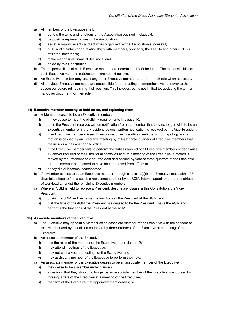- a) All members of the Executive shall:
	- i) uphold the aims and functions of the Association outlined in clause 4;
	- ii) be positive representatives of the Association;
	- iii) assist in making events and activities organised by the Association successful;
	- iv) build and maintain good relationships with members, sponsors, the Faculty and other SOULS affiliated institutions;
	- v) make responsible financial decisions; and
	- vi) abide by this Constitution.
- b) The responsibilities of each Executive member are determined by Schedule 1. The responsibilities of each Executive member in Schedule 1 are not exhaustive.
- c) An Executive member may assist any other Executive member to perform their role when necessary.
- d) All previous Executive members are responsible for conducting a comprehensive handover to their successor before relinquishing their position. This includes, but is not limited to, updating the written handover document for their role.

#### **14) Executive member ceasing to hold office, and replacing them**

- a) A Member ceases to be an Executive member:
	- i) if they cease to meet the eligibility requirements in clause 10;
	- ii) once the President receives written notification from the member that they no longer wish to be an Executive member or if the President resigns, written notification is received by the Vice-President;
	- iii) if an Executive member misses three consecutive Executive meetings without apology and a motion is passed by an Executive meeting by at least three-quarters of Executive members that the individual has abandoned office;
	- iv) if the Executive member fails to perform the duties required of all Executive members under clause 12 and/or required of their individual portfolios and, at a meeting of the Executive, a motion is moved by the President or Vice-President and passed by vote of three-quarters of the Executive that the member be deemed to have been removed from office; or
	- v) if they die or become incapacitated.
- b) If a Member ceases to be an Executive member through clause 13(a)(i), the Executive must within 28 days take steps to find a suitable replacement, either by an SGM, internal appointment or redistribution of workload amongst the remaining Executive members.
- c) Where an SGM is held to replace a President, despite any clause in this Constitution, the Vice-President:
	- i) chairs the SGM and performs the functions of the President at the SGM; and
	- ii) if at the time of the AGM the President has ceased to be the President, chairs the AGM and performs the functions of the President at the AGM.

#### **15) Associate members of the Executive**

- a) The Executive may appoint a Member as an associate member of the Executive with the consent of that Member and by a decision endorsed by three-quarters of the Executive at a meeting of the Executive.
- b) An associate member of the Executive:
	- i) has the roles of the member of the Executive under clause 12:
	- ii) may attend meetings of the Executive;
	- iii) may not cast a vote at meetings of the Executive; and
	- iv) may assist any member of the Executive to perform their role.
- c) An associate member of the Executive ceases to be an associate member of the Executive if:
	- i) they cease to be a Member under clause 7;
	- ii) a decision that they should no longer be an associate member of the Executive is endorsed by three-quarters of the Executive at a meeting of the Executive;
	- iii) the term of the Executive that appointed them ceases; or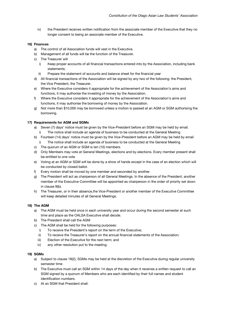iv) the President receives written notification from the associate member of the Executive that they no longer consent to being an associate member of the Executive.

# **16) Finances**

- a) The control of all Association funds will vest in the Executive.
- b) Management of all funds will be the function of the Treasurer.
- c) The Treasurer will
	- i) Keep proper accounts of all financial transactions entered into by the Association, including bank statements;
	- Prepare the statement of accounts and balance sheet for the financial year
- d) All financial transactions of the Association will be signed by any two of the following: the President, the Vice President, the Treasurer.
- e) Where the Executive considers it appropriate for the achievement of the Association's aims and functions, it may authorise the investing of money by the Association.
- f) Where the Executive considers it appropriate for the achievement of the Association's aims and functions, it may authorise the borrowing of money by the Association.
- g) Not more than \$10,000 may be borrowed unless a motion is passed at an AGM or SGM authorising the borrowing.

# **17) Requirements for AGM and SGMs**

- a) Seven (7) days' notice must be given by the Vice-President before an SGM may be held by email.
	- i) The notice shall include an agenda of business to be conducted at the General Meeting
- b) Fourteen (14) days' notice must be given by the Vice-President before an AGM may be held by email The notice shall include an agenda of business to be conducted at the General Meeting
- c) The quorum of an AGM or SGM is ten (10) members.
- d) Only Members may vote at General Meetings, elections and by-elections. Every member present shall be entitled to one vote
- e) Voting at an AGM or SGM will be done by a show of hands except in the case of an election which will be conducted by closed ballot.
- f) Every motion shall be moved by one member and seconded by another.
- g) The President will act as chairperson of all General Meetings. In the absence of the President, another member of the Executive Committee will be appointed as chairperson in the order of priority set down in clause 9(b).
- h) The Treasurer, or in their absence,the Vice-President or another member of the Executive Committee will keep detailed minutes of all General Meetings.

# **18) The AGM**

- a) The AGM must be held once in each university year and occur during the second semester at such time and place as the OALSA Executive shall decide.
- b) The President shall call the AGM
- c) The AGM shall be held for the following purposes:
	- i) To receive the President's report on the term of the Executive;
	- ii) To receive the Treasurer's report on the annual financial statements of the Association;
	- iii) Election of the Executive for the next term; and
	- iv) any other resolution put to the meeting.

# **19) SGMs**

- a) Subject to clause 18(2), SGMs may be held at the discretion of the Executive during regular university semester time
- b) The Executive must call an SGM within 14 days of the day when it receives a written request to call an SGM signed by a quorum of Members who are each identified by their full names and student identification numbers.
- c) At an SGM that President shall: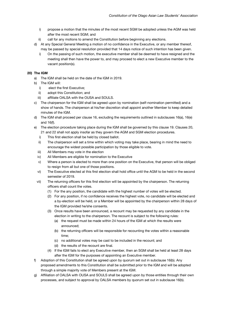- i) propose a motion that the minutes of the most recent SGM be adopted unless the AGM was held after the most recent SGM; and
- ii) call for any motions to amend the Constitution before beginning any elections.
- d) At any Special General Meeting a motion of no confidence in the Executive, or any member thereof, may be passed by special resolution provided that 14 days notice of such intention has been given.
	- i) On the passing of such motion, the executive member shall be deemed to have resigned and the meeting shall then have the power to, and may proceed to elect a new Executive member to the vacant position(s).

# **20) The IGM**

- a) The IGM shall be held on the date of the IGM in 2019.
- b) The IGM will:
	- i) elect the first Executive;
	- ii) adopt this Constitution; and
	- iii) affiliate OALSA with the OUSA and SOULS.
- c) The chairperson for the IGM shall be agreed upon by nomination (self-nomination permitted) and a show of hands. The chairperson at his/her discretion shall appoint another Member to keep detailed minutes of the IGM.
- d) The IGM shall proceed per clause 16, excluding the requirements outlined in subclauses 16(a), 16(e) and 16(f).
- e) The election procedure taking place during the IGM shall be governed by this clause 19. Clauses 20, 21 and 22 shall not apply insofar as they govern the AGM and SGM election procedures.
	- i) This first election shall be held by closed ballot.
	- ii) The chairperson will set a time within which voting may take place, bearing in mind the need to encourage the widest possible participation by those eligible to vote.
	- iii) All Members may vote in the election
	- iv) All Members are eligible for nomination to the Executive
	- v) Where a person is elected to more than one position on the Executive, that person will be obliged to resign from all but one of those positions.
	- vi) The Executive elected at this first election shall hold office until the AGM to be held in the second semester of 2019.
	- vii) The returning officers for this first election will be appointed by the chairperson. The returning officers shall count the votes.
		- (1) For the any position, the candidate with the highest number of votes will be elected.
		- (2) For any position, if no confidence receives the highest vote, no candidate will be elected and a by-election will be held, or a Member will be appointed by the chairperson within 28 days of the IGM provided he/she consents.
		- (3) Once results have been announced, a recount may be requested by any candidate in the election in writing to the chairperson. The recount is subject to the following rules:
			- (a) the request must be made within 24 hours of the IGM at which the results were announced;
			- (b) the returning officers will be responsible for recounting the votes within a reasonable time;
			- (c) no additional votes may be cast to be included in the recount; and
			- (d) the results of the recount are final.
		- (4) If the IGM fails to elect any Executive member, then an SGM shall be held at least 28 days after the IGM for the purposes of appointing an Executive member.
- f) Adoption of this Constitution shall be agreed upon by quorum set out in subclause 16(b). Any proposed amendments to this Constitution shall be submitted prior to the IGM and will be adopted through a simple majority vote of Members present at the IGM.
- g) Affiliation of OALSA with OUSA and SOULS shall be agreed upon by those entities through their own processes, and subject to approval by OALSA members by quorum set out in subclause 16(b).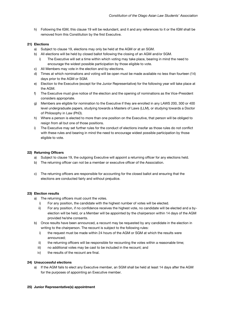h) Following the IGM, this clause 19 will be redundant, and it and any references to it or the IGM shall be removed from this Constitution by the first Executive.

#### **21) Elections**

- a) Subject to clause 19, elections may only be held at the AGM or at an SGM.
- b) All elections will be held by closed ballot following the closing of an AGM and/or SGM.
	- i) The Executive will set a time within which voting may take place, bearing in mind the need to encourage the widest possible participation by those eligible to vote.
- c) All Members may vote in the election and by-elections.
- d) Times at which nominations and voting will be open must be made available no less than fourteen (14) days prior to the AGM or SGM.
- e) Election to the Executive (except for the Junior Representative) for the following year will take place at the AGM.
- f) The Executive must give notice of the election and the opening of nominations as the Vice-President considers appropriate.
- g) Members are eligible for nomination to the Executive if they are enrolled in any LAWS 200, 300 or 400 level undergraduate papers, studying towards a Masters of Laws (LLM), or studying towards a Doctor of Philosophy in Law (PhD).
- h) Where a person is elected to more than one position on the Executive, that person will be obliged to resign from all but one of those positions.
- i) The Executive may set further rules for the conduct of elections insofar as those rules do not conflict with these rules and bearing in mind the need to encourage widest possible participation by those eligible to vote.

#### **22) Returning Officers**

- a) Subject to clause 19, the outgoing Executive will appoint a returning officer for any elections held.
- b) The returning officer can not be a member or executive officer of the Association.
- c) The returning officers are responsible for accounting for the closed ballot and ensuring that the elections are conducted fairly and without prejudice.

#### **23) Election results**

a) The returning officers must count the votes.

- i) For any position, the candidate with the highest number of votes will be elected.
- ii) For any position, if no confidence receives the highest vote, no candidate will be elected and a byelection will be held, or a Member will be appointed by the chairperson within 14 days of the AGM provided he/she consents.
- b) Once results have been announced, a recount may be requested by any candidate in the election in writing to the chairperson. The recount is subject to the following rules:
	- i) the request must be made within 24 hours of the AGM or SGM at which the results were announced;
	- ii) the returning officers will be responsible for recounting the votes within a reasonable time;
	- iii) no additional votes may be cast to be included in the recount; and
	- iv) the results of the recount are final.

# **24) Unsuccessful elections**

a) If the AGM fails to elect any Executive member, an SGM shall be held at least 14 days after the AGM for the purposes of appointing an Executive member.

#### **25) Junior Representative(s) appointment**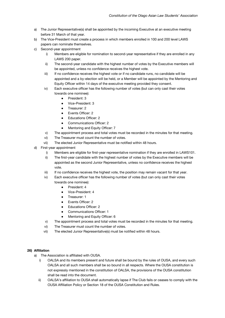- a) The Junior Representative(s) shall be appointed by the incoming Executive at an executive meeting before 31 March of that year.
- b) The Vice-President must create a process in which members enrolled in 100 and 200 level LAWS papers can nominate themselves.
- c) Second-year appointment
	- i) Members are eligible for nomination to second-year representative if they are enrolled in any LAWS 200 paper.
	- ii) The second-year candidate with the highest number of votes by the Executive members will be appointed, unless no confidence receives the highest vote.
	- iii) If no confidence receives the highest vote or if no candidate runs, no candidate will be appointed and a by-election will be held, or a Member will be appointed by the Mentoring and Equity Officer within 14 days of the executive meeting provided they consent.
	- iv) Each executive officer has the following number of votes (but can only cast their votes towards one nominee):
		- President: 3
		- Vice-President: 3
		- Treasurer: 2
		- Events Officer: 2
		- **Educations Officer: 2**
		- Communications Officer: 2
		- Mentoring and Equity Officer: 7
	- v) The appointment process and total votes must be recorded in the minutes for that meeting.
	- vi) The Treasurer must count the number of votes.
	- vii) The elected Junior Representative must be notified within 48 hours.
- d) First-year appointment
	- i) Members are eligible for first-year representative nomination if they are enrolled in LAWS101.
	- ii) The first-year candidate with the highest number of votes by the Executive members will be appointed as the second Junior Representative, unless no confidence receives the highest vote.
	- iii) If no confidence receives the highest vote, the position may remain vacant for that year.
	- iv) Each executive officer has the following number of votes (but can only cast their votes towards one nominee):
		- President: 4
		- Vice-President: 4
		- Treasurer: 1
		- Events Officer: 2
		- **Educations Officer: 2**
		- Communications Officer: 1
		- Mentoring and Equity Officer: 6
	- v) The appointment process and total votes must be recorded in the minutes for that meeting.
	- vi) The Treasurer must count the number of votes.
	- vii) The elected Junior Representative(s) must be notified within 48 hours.

# **26) Affiliation**

- a) The Association is affiliated with OUSA.
	- i) OALSA and its members present and future shall be bound by the rules of OUSA, and every such OALSA and all such members shall be so bound in all respects. Where the OUSA constitution is not expressly mentioned in the constitution of OALSA, the provisions of the OUSA constitution shall be read into the document.
	- ii) OALSA's affiliation to OUSA shall automatically lapse if The Club fails or ceases to comply with the OUSA Affiliation Policy or Section 18 of the OUSA Constitution and Rules.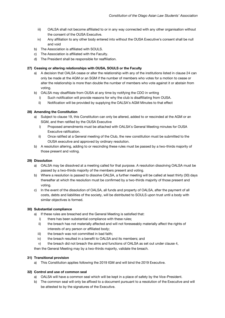- iii) OALSA shall not become affiliated to or in any way connected with any other organisation without the consent of the OUSA Executive.
- iv) Any affiliation to any other body entered into without the OUSA Executive's consent shall be null and void
- b) The Association is affiliated with SOULS.
- c) The Association is affiliated with the Faculty.
- d) The President shall be responsible for reaffiliation.

# **27) Ceasing or altering relationships with OUSA, SOULS or the Faculty**

- a) A decision that OALSA cease or alter the relationship with any of the institutions listed in clause 24 can only be made at the AGM or an SGM if the number of members who votes for a motion to cease or alter the relationship is more than double the number of members who vote against it or abstain from voting.
- b) OALSA may disaffiliate from OUSA at any time by notifying the CDO in writing
	- i) Such notification will provide reasons for why the club is disaffiliating from OUSA.
	- ii) Notification will be provided by supplying the OALSA's AGM Minutes to that effect

# **28) Amending the Constitution**

- a) Subject to clause 19, this Constitution can only be altered, added to or rescinded at the AGM or an SGM, and then ratified by the OUSA Executive
	- i) Proposed amendments must be attached with OALSA's General Meeting minutes for OUSA Executive ratification.
	- ii) Once ratified at a General meeting of the Club, the new constitution must be submitted to the OUSA executive and approved by ordinary resolution.
- b) A resolution altering, adding to or rescinding these rules must be passed by a two-thirds majority of those present and voting.

# **29) Dissolution**

- a) OALSA may be dissolved at a meeting called for that purpose. A resolution dissolving OALSA must be passed by a two-thirds majority of the members present and voting.
- b) Where a resolution is passed to dissolve OALSA, a further meeting will be called at least thirty (30) days thereafter at which the resolution must be confirmed by a two-thirds majority of those present and voting.
- c) In the event of the dissolution of OALSA, all funds and property of OALSA, after the payment of all costs, debts and liabilities of the society, will be distributed to SOULS upon trust until a body with similar objectives is formed.

# **30) Substantial compliance**

- a) If these rules are breached and the General Meeting is satisfied that:
	- i) there has been substantial compliance with these rules;
	- ii) the breach has not materially affected and will not foreseeably materially affect the rights of interests of any person or affiliated body;
	- iii) the breach was not committed in bad faith;
	- iv) the breach resulted in a benefit to OALSA and its members; and
	- v) the breach did not breach the aims and functions of OALSA as set out under clause 4,

then the General Meeting may by a two-thirds majority, validate the breach.

# **31) Transitional provision**

a) This Constitution applies following the 2019 IGM and will bind the 2019 Executive.

# **32) Control and use of common seal**

- a) OALSA will have a common seal which will be kept in a place of safety by the Vice-President.
- b) The common seal will only be affixed to a document pursuant to a resolution of the Executive and will be attested to by the signatures of the Executive.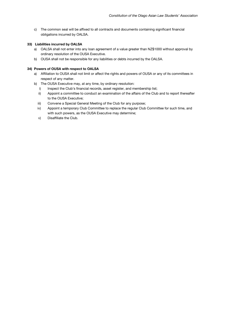c) The common seal will be affixed to all contracts and documents containing significant financial obligations incurred by OALSA.

# **33) Liabilities incurred by OALSA**

- a) OALSA shall not enter into any loan agreement of a value greater than NZ\$1000 without approval by ordinary resolution of the OUSA Executive.
- b) OUSA shall not be responsible for any liabilities or debts incurred by the OALSA.

# **34) Powers of OUSA with respect to OALSA**

- a) Affiliation to OUSA shall not limit or affect the rights and powers of OUSA or any of its committees in respect of any matter.
- b) The OUSA Executive may, at any time, by ordinary resolution:
	- i) Inspect the Club's financial records, asset register, and membership list;
	- ii) Appoint a committee to conduct an examination of the affairs of the Club and to report thereafter to the OUSA Executive;
	- iii) Convene a Special General Meeting of the Club for any purpose;
	- iv) Appoint a temporary Club Committee to replace the regular Club Committee for such time, and with such powers, as the OUSA Executive may determine;
	- v) Disaffiliate the Club.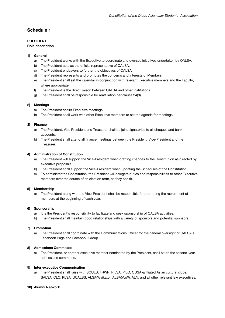# **Schedule 1**

# **PRESIDENT**

### **Role description**

# **1) General**

- a) The President works with the Executive to coordinate and oversee initiatives undertaken by OALSA.
- b) The President acts as the official representative of OALSA.
- c) The President endeavors to further the objectives of OALSA.
- d) The President represents and promotes the concerns and interests of Members.
- e) The President shall set the calendar in conjunction with relevant Executive members and the Faculty, where appropriate.
- f) The President is the direct liaison between OALSA and other institutions.
- g) The President shall be responsible for reaffiliation per clause 24(d).

# **2) Meetings**

- a) The President chairs Executive meetings.
- b) The President shall work with other Executive members to set the agenda for meetings.

#### **3) Finance**

- a) The President, Vice President and Treasurer shall be joint signatories to all cheques and bank accounts.
- b) The President shall attend all finance meetings between the President, Vice-President and the Treasurer.

#### **4) Administration of Constitution**

- a) The President will support the Vice-President when drafting changes to the Constitution as directed by executive proposals.
- b) The President shall support the Vice-President when updating the Schedules of the Constitution.
- c) To administer the Constitution, the President will delegate duties and responsibilities to other Executive members over the course of an election term, as they see fit.

# **5) Membership**

a) The President along with the Vice-President shall be responsible for promoting the recruitment of members at the beginning of each year.

#### **6) Sponsorship**

- a) It is the President's responsibility to facilitate and seek sponsorship of OALSA activities.
- b) The President shall maintain good relationships with a variety of sponsors and potential sponsors.

#### 7) **Promotion**

a) The President shall coordinate with the Communications Officer for the general oversight of OALSA's Facebook Page and Facebook Group.

# **8) Admissions Committee**

a) The President, or another executive member nominated by the President, shall sit on the second-year admissions committee.

# 9) **Inter-executive Communication**

a) The President shall liaise with SOULS, TRWP, PILSA, PILO, OUSA-affiliated Asian cultural clubs, SALSA, CLC, KLSA, UCALSS, ALSA(Waikato), ALSA(VuW), ALN, and all other relevant law executives.

# **10) Alumni Network**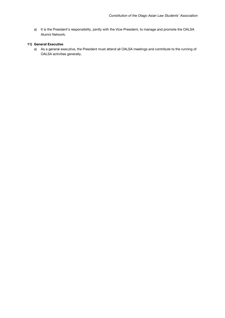a) It is the President's responsibility, jointly with the Vice-President, to manage and promote the OALSA Alumni Network.

### **11) General Executive**

a) As a general executive, the President must attend all OALSA meetings and contribute to the running of OALSA activities generally.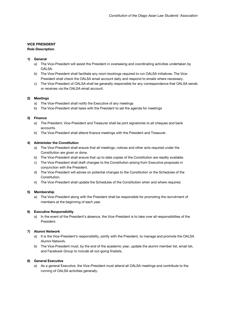# **VICE PRESIDENT**

# **Role Description**

# **1) General**

- a) The Vice-President will assist the President in overseeing and coordinating activities undertaken by OALSA.
- b) The Vice-President shall facilitate any room bookings required to run OALSA initiatives. The Vice-President shall check the OALSA email account daily and respond to emails where necessary.
- c) The Vice-President of OALSA shall be generally responsible for any correspondence that OALSA sends or receives via the OALSA email account.

# **2) Meetings**

- a) The Vice-President shall notify the Executive of any meetings
- b) The Vice-President shall liaise with the President to set the agenda for meetings

# **3) Finance**

- a) The President, Vice-President and Treasurer shall be joint signatories to all cheques and bank accounts.
- b) The Vice-President shall attend finance meetings with the President and Treasurer.

# **4) Administer the Constitution**

- a) The Vice-President shall ensure that all meetings, notices and other acts required under the Constitution are given or done.
- b) The Vice-President shall ensure that up to date copies of the Constitution are readily available.
- c) The Vice-President shall draft changes to the Constitution arising from Executive proposals in conjunction with the President.
- d) The Vice-President will advise on potential changes to the Constitution or the Schedules of the Constitution.
- e) The Vice-President shall update the Schedules of the Constitution when and where required.

# **5) Membership**

a) The Vice-President along with the President shall be responsible for promoting the recruitment of members at the beginning of each year.

# **6) Executive Responsibility**

a) In the event of the President's absence, the Vice-President is to take over all responsibilities of the President.

# **7) Alumni Network**

- a) It is the Vice-President's responsibility, jointly with the President, to manage and promote the OALSA Alumni Network.
- b) The Vice-President must, by the end of the academic year, update the alumni member list, email list, and Facebook Group to include all out-going finalists.

# **8) General Executive**

a) As a general Executive, the Vice-President must attend all OALSA meetings and contribute to the running of OALSA activities generally.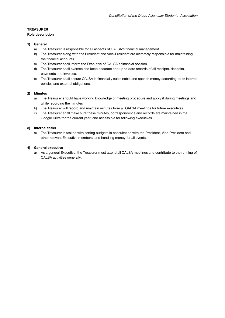### **TREASURER**

#### **Role description**

### **1) General**

- a) The Treasurer is responsible for all aspects of OALSA's financial management.
- b) The Treasurer along with the President and Vice-President are ultimately responsible for maintaining the financial accounts.
- c) The Treasurer shall inform the Executive of OALSA's financial position
- d) The Treasurer shall oversee and keep accurate and up to date records of all receipts, deposits, payments and invoices.
- e) The Treasurer shall ensure OALSA is financially sustainable and spends money according to its internal policies and external obligations.

### **2) Minutes**

- a) The Treasurer should have working knowledge of meeting procedure and apply it during meetings and while recording the minutes
- b) The Treasurer will record and maintain minutes from all OALSA meetings for future executives
- c) The Treasurer shall make sure these minutes, correspondence and records are maintained in the Google Drive for the current year, and accessible for following executives.

# **3) Internal tasks**

a) The Treasurer is tasked with setting budgets in consultation with the President, Vice-President and other relevant Executive members, and handling money for all events.

#### **4) General executive**

a) As a general Executive, the Treasurer must attend all OALSA meetings and contribute to the running of OALSA activities generally.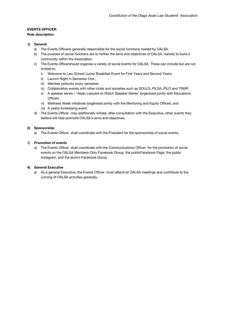# **EVENTS OFFICER**

# **Role description**

# **1) General**

- a) The Events Officeris generally responsible for the social functions hosted by OALSA.
- b) The purpose of social functions are to further the aims and objectives of OALSA, namely to build a community within the Association.
- c) The Events Officershould organise a variety of social events for OALSA. These can include but are not limited to:
	- i) Welcome to Law School Junior Breakfast Event for First Years and Second Years;
	- ii) Launch Night in Semester One ;
	- iii) Member potlucks every semester;
	- iv) Collaboration events with other clubs and societies such as SOULS, PILSA, PILO and TRWP;
	- v) A speaker series 'Asian Lawyers to Watch Speaker Series' (organised jointly with Educations Officer);
	- vi) Wellness Week initiatives (organised jointly with the Mentoring and Equity Officer); and
	- vii) A yearly fundraising event.
- d) The Events Officer may additionally initiate, after consultation with the Executive, other events they believe will help promote OALSA's aims and objectives.

# **2) Sponsorship**

a) The Events Officer shall coordinate with the President for the sponsorship of social events.

# 3) **Promotion of events**

a) The Events Officer shall coordinate with the Communications Officer for the promotion of social events on the OALSA Members-Only Facebook Group, the publicFacebook Page, the public Instagram, and the alumni Facebook Group

# **4) General Executive**

a) As a general Executive, the Events Officer must attend all OALSA meetings and contribute to the running of OALSA activities generally.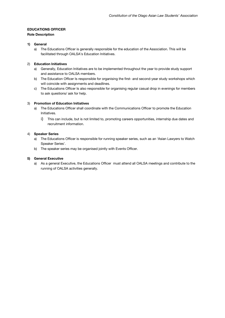# **EDUCATIONS OFFICER**

# **Role Description**

### **1) General**

a) The Educations Officer is generally responsible for the education of the Association. This will be facilitated through OALSA's Education Initiatives.

# 2) **Education Initiatives**

- a) Generally, Education Initiatives are to be implemented throughout the year to provide study support and assistance to OALSA members.
- b) The Education Officer Is responsible for organising the first- and second-year study workshops which will coincide with assignments and deadlines.
- c) The Educations Officer Is also responsible for organising regular casual drop in evenings for members to ask questions/ ask for help.

# 3) **Promotion of Education Initiatives**

- a) The Educations Officer shall coordinate with the Communications Officer to promote the Education Initiatives.
	- i) This can include, but is not limited to, promoting careers opportunities, internship due dates and recruitment information.

### 4) **Speaker Series**

- a) The Educations Officer is responsible for running speaker series, such as an 'Asian Lawyers to Watch Speaker Series'.
- b) The speaker series may be organised jointly with Events Officer.

# **5) General Executive**

a) As a general Executive, the Educations Officer must attend all OALSA meetings and contribute to the running of OALSA activities generally.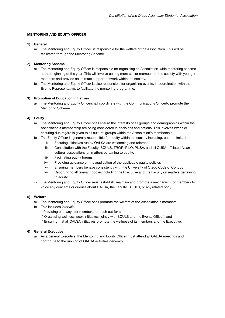#### **MENTORING AND EQUITY OFFICER**

#### **1) General**

a) The Mentoring and Equity Officer is responsible for the welfare of the Association. This will be facilitated through the Mentoring Scheme

#### **2) Mentoring Scheme**

- a) The Mentoring and Equity Officer is responsible for organising an Association-wide mentoring scheme at the beginning of the year. This will involve pairing more senior members of the society with younger members and provide an intimate support network within the society.
- b) The Mentoring and Equity Officer is also responsible for organising events, in coordination with the Events Representative, to facilitate the mentoring programme.

#### **3) Promotion of Education Initiatives**

a) The Mentoring and Equity Officershall coordinate with the Communications Officerto promote the Mentoring Scheme.

# **4) Equity**

- a) The Mentoring and Equity Officer shall ensure the interests of all groups and demographics within the Association's membership are being considered in decisions and actions. This involves *inter alia*  ensuring due regard is given to all cultural groups within the Association's membership.
- b) The Equity Officer is generally responsible for equity within the society including, but not limited to:
	- i) Ensuring initiatives run by OALSA are welcoming and tolerant.
		- ii) Consultation with the Faculty, SOULS, TRWP, PILO, PILSA, and all OUSA-affiliated Asian cultural associations on matters pertaining to equity.
	- iii) Facilitating equity forums
	- iv) Providing guidance on the application of the applicable equity policies
	- v) Ensuring members behave consistently with the University of Otago Code of Conduct
	- vi) Reporting to all relevant bodies including the Executive and the Faculty on matters pertaining to equity
- c) The Mentoring and Equity Officer must establish, maintain and promote a mechanism for members to voice any concerns or queries about OALSA, the Faculty, SOULS, or any related body.

#### **5) Welfare**

- a) The Mentoring and Equity Officer shall promote the welfare of the Association's members.
- b) This includes *inter alia:*

i) Providing pathways for members to reach out for support;

- ii) Organising wellness week initiatives (jointly with SOULS and the Events Officer); and
- ii) Ensuring that all OALSA initiatives promote the wellness of its members and the Executive.

# **6) General Executive**

a) As a general Executive, the Mentoring and Equity Officer must attend all OALSA meetings and contribute to the running of OALSA activities generally.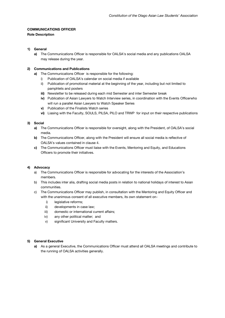# **COMMUNICATIONS OFFICER**

# **Role Description**

# **1) General**

**a)** The Communications Officer is responsible for OALSA's social media and any publications OALSA may release during the year.

# **2) Communications and Publications**

- **a)** The Communications Officer is responsible for the following:
	- i) Publication of OALSA's calendar on social media if available
	- ii) Publication of promotional material at the beginning of the year, including but not limited to pamphlets and posters
	- **iii)** Newsletter to be released during each mid Semester and inter Semester break
	- **iv)** Publication of Asian Lawyers to Watch Interview series, in coordination with the Events Officerwho will run a parallel Asian Lawyers to Watch Speaker Series
	- **v)** Publication of the Finalists Watch series
	- **vi)** Liasing with the Faculty, SOULS, PILSA, PILO and TRWP for input on their respective publications

# **3) Social**

- **a)** The Communications Officer is responsible for oversight, along with the President, of OALSA's social media.
- **b)** The Communications Officer, along with the President will ensure all social media is reflective of OALSA's values contained in clause 4.
- **c)** The Communications Officer must liaise with the Events, Mentoring and Equity, and Educations Officers to promote their initiatives.

# **4) Advocacy**

- a) The Communications Officer is responsible for advocating for the interests of the Association's members.
- b) This includes inter alia, drafting social media posts in relation to national holidays of interest to Asian communities.
- c) The Communications Officer may publish, in consultation with the Mentoring and Equity Officer and with the unanimous consent of all executive members, its own statement on
	- i) legislative reforms;
	- ii) developments in case law;
	- iii) domestic or international current affairs;
	- iv) any other political matter; and
	- v) significant University and Faculty matters.

# **5) General Executive**

**a)** As a general Executive, the Communications Officer must attend all OALSA meetings and contribute to the running of OALSA activities generally.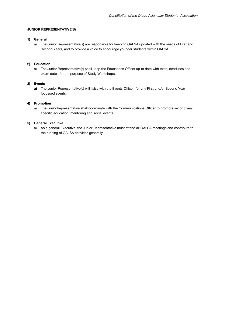# **JUNIOR REPRESENTATIVE(S)**

# **1) General**

a) The Junior Representative(s) are responsible for keeping OALSA updated with the needs of First and Second Years, and to provide a voice to encourage younger students within OALSA.

# **2) Education**

a) The Junior Representative(s) shall keep the Educations Officer up to date with tests, deadlines and exam dates for the purpose of Study Workshops.

#### **3) Events**

**a)** The Junior Representative(s) will liaise with the Events Officer for any First and/or Second Year focussed events.

#### **4) Promotion**

a) The JuniorRepresentative shall coordinate with the Communications Officer to promote second year specific education, mentoring and social events.

### **5) General Executive**

a) As a general Executive, the Junior Representative must attend all OALSA meetings and contribute to the running of OALSA activities generally.